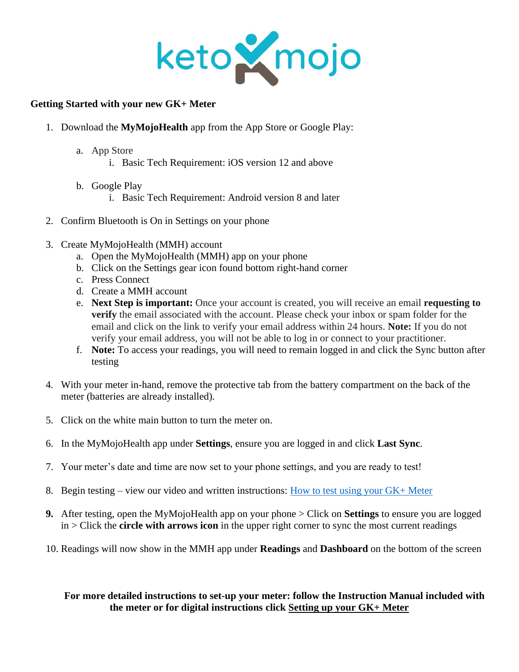

## **Getting Started with your new GK+ Meter**

- 1. Download the **MyMojoHealth** app from the App Store or Google Play:
	- a. App Store
		- i. Basic Tech Requirement: iOS version 12 and above
	- b. Google Play
		- i. Basic Tech Requirement: Android version 8 and later
- 2. Confirm Bluetooth is On in Settings on your phone
- 3. Create MyMojoHealth (MMH) account
	- a. Open the MyMojoHealth (MMH) app on your phone
	- b. Click on the Settings gear icon found bottom right-hand corner
	- c. Press Connect
	- d. Create a MMH account
	- e. **Next Step is important:** Once your account is created, you will receive an email **requesting to verify** the email associated with the account. Please check your inbox or spam folder for the email and click on the link to verify your email address within 24 hours. **Note:** If you do not verify your email address, you will not be able to log in or connect to your practitioner.
	- f. **Note:** To access your readings, you will need to remain logged in and click the Sync button after testing
- 4. With your meter in-hand, remove the protective tab from the battery compartment on the back of the meter (batteries are already installed).
- 5. Click on the white main button to turn the meter on.
- 6. In the MyMojoHealth app under **Settings**, ensure you are logged in and click **Last Sync**.
- 7. Your meter's date and time are now set to your phone settings, and you are ready to test!
- 8. Begin testing view our video and written instructions: [How to test using your GK+ Meter](https://keto-mojo.com/help-docs/how-to-test-gkplus-meter/)
- **9.** After testing, open the MyMojoHealth app on your phone > Click on **Settings** to ensure you are logged in > Click the **circle with arrows icon** in the upper right corner to sync the most current readings
- 10. Readings will now show in the MMH app under **Readings** and **Dashboard** on the bottom of the screen

## **For more detailed instructions to set-up your meter: follow the Instruction Manual included with the meter or for digital instructions click [Setting up your GK+ Meter](https://keto-mojo.com/help-docs/setting-up-gkplus-meter/)**